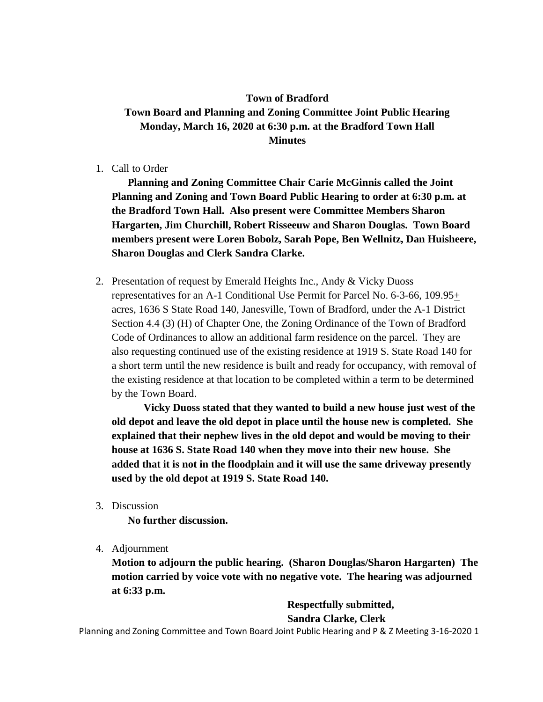## **Town of Bradford Town Board and Planning and Zoning Committee Joint Public Hearing Monday, March 16, 2020 at 6:30 p.m. at the Bradford Town Hall Minutes**

1. Call to Order

**Planning and Zoning Committee Chair Carie McGinnis called the Joint Planning and Zoning and Town Board Public Hearing to order at 6:30 p.m. at the Bradford Town Hall. Also present were Committee Members Sharon Hargarten, Jim Churchill, Robert Risseeuw and Sharon Douglas. Town Board members present were Loren Bobolz, Sarah Pope, Ben Wellnitz, Dan Huisheere, Sharon Douglas and Clerk Sandra Clarke.** 

2. Presentation of request by Emerald Heights Inc., Andy & Vicky Duoss representatives for an A-1 Conditional Use Permit for Parcel No. 6-3-66, 109.95+ acres, 1636 S State Road 140, Janesville, Town of Bradford, under the A-1 District Section 4.4 (3) (H) of Chapter One, the Zoning Ordinance of the Town of Bradford Code of Ordinances to allow an additional farm residence on the parcel. They are also requesting continued use of the existing residence at 1919 S. State Road 140 for a short term until the new residence is built and ready for occupancy, with removal of the existing residence at that location to be completed within a term to be determined by the Town Board.

**Vicky Duoss stated that they wanted to build a new house just west of the old depot and leave the old depot in place until the house new is completed. She explained that their nephew lives in the old depot and would be moving to their house at 1636 S. State Road 140 when they move into their new house. She added that it is not in the floodplain and it will use the same driveway presently used by the old depot at 1919 S. State Road 140.** 

3. Discussion

**No further discussion.**

4. Adjournment

**Motion to adjourn the public hearing. (Sharon Douglas/Sharon Hargarten) The motion carried by voice vote with no negative vote. The hearing was adjourned at 6:33 p.m.**

> **Respectfully submitted, Sandra Clarke, Clerk**

Planning and Zoning Committee and Town Board Joint Public Hearing and P & Z Meeting 3-16-2020 1